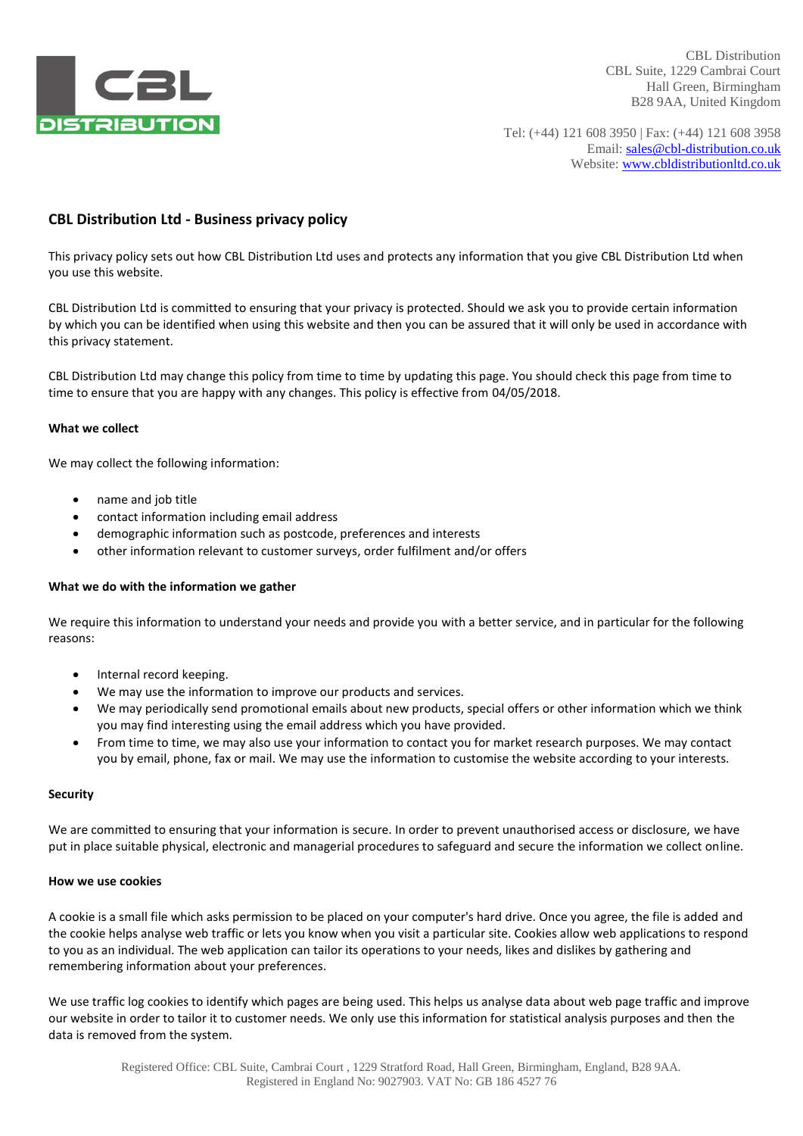

CBL Distribution CBL Suite, 1229 Cambrai Court Hall Green, Birmingham B28 9AA, United Kingdom

Tel: (+44) 121 608 3950 | Fax: (+44) 121 608 3958 Email: sales@cbl-distribution.co.uk Website: www.cbldistributionltd.co.uk

# **CBL Distribution Ltd - Business privacy policy**

This privacy policy sets out how CBL Distribution Ltd uses and protects any information that you give CBL Distribution Ltd when you use this website.

CBL Distribution Ltd is committed to ensuring that your privacy is protected. Should we ask you to provide certain information by which you can be identified when using this website and then you can be assured that it will only be used in accordance with this privacy statement.

CBL Distribution Ltd may change this policy from time to time by updating this page. You should check this page from time to time to ensure that you are happy with any changes. This policy is effective from 04/05/2018.

### **What we collect**

We may collect the following information:

- name and job title
- contact information including email address
- demographic information such as postcode, preferences and interests
- other information relevant to customer surveys, order fulfilment and/or offers

#### **What we do with the information we gather**

We require this information to understand your needs and provide you with a better service, and in particular for the following reasons:

- Internal record keeping.
- We may use the information to improve our products and services.
- We may periodically send promotional emails about new products, special offers or other information which we think you may find interesting using the email address which you have provided.
- From time to time, we may also use your information to contact you for market research purposes. We may contact you by email, phone, fax or mail. We may use the information to customise the website according to your interests.

#### **Security**

We are committed to ensuring that your information is secure. In order to prevent unauthorised access or disclosure, we have put in place suitable physical, electronic and managerial procedures to safeguard and secure the information we collect online.

#### **How we use cookies**

A cookie is a small file which asks permission to be placed on your computer's hard drive. Once you agree, the file is added and the cookie helps analyse web traffic or lets you know when you visit a particular site. Cookies allow web applications to respond to you as an individual. The web application can tailor its operations to your needs, likes and dislikes by gathering and remembering information about your preferences.

We use traffic log cookies to identify which pages are being used. This helps us analyse data about web page traffic and improve our website in order to tailor it to customer needs. We only use this information for statistical analysis purposes and then the data is removed from the system.